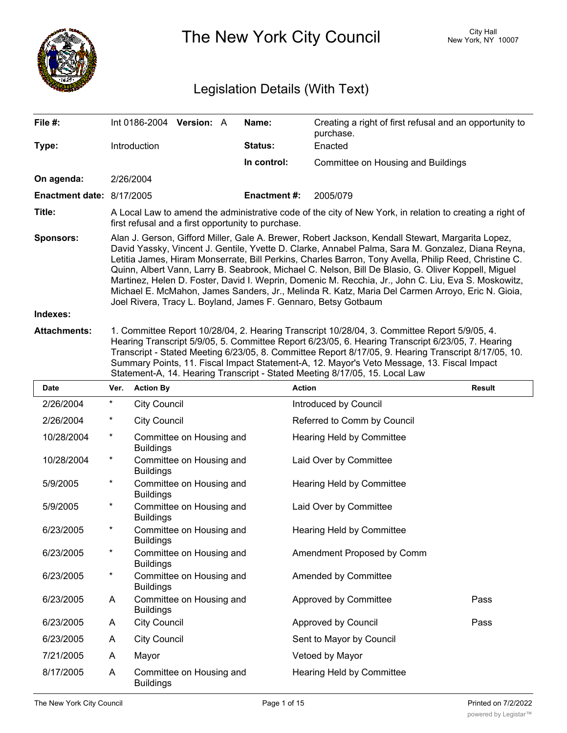

The New York City Council New York, NY 10007

# Legislation Details (With Text)

| File #:                                       | Int 0186-2004 Version: A                                                                                                                                                                                                                                                                                                                                                                                                                                                                                                                                                                                                                                                                            |  |  | Name:               | Creating a right of first refusal and an opportunity to<br>purchase. |  |
|-----------------------------------------------|-----------------------------------------------------------------------------------------------------------------------------------------------------------------------------------------------------------------------------------------------------------------------------------------------------------------------------------------------------------------------------------------------------------------------------------------------------------------------------------------------------------------------------------------------------------------------------------------------------------------------------------------------------------------------------------------------------|--|--|---------------------|----------------------------------------------------------------------|--|
| Type:                                         | Introduction                                                                                                                                                                                                                                                                                                                                                                                                                                                                                                                                                                                                                                                                                        |  |  | <b>Status:</b>      | Enacted                                                              |  |
|                                               |                                                                                                                                                                                                                                                                                                                                                                                                                                                                                                                                                                                                                                                                                                     |  |  | In control:         | Committee on Housing and Buildings                                   |  |
| On agenda:                                    | 2/26/2004                                                                                                                                                                                                                                                                                                                                                                                                                                                                                                                                                                                                                                                                                           |  |  |                     |                                                                      |  |
| <b>Enactment date: <math>8/17/2005</math></b> |                                                                                                                                                                                                                                                                                                                                                                                                                                                                                                                                                                                                                                                                                                     |  |  | <b>Enactment #:</b> | 2005/079                                                             |  |
| Title:                                        | A Local Law to amend the administrative code of the city of New York, in relation to creating a right of<br>first refusal and a first opportunity to purchase.                                                                                                                                                                                                                                                                                                                                                                                                                                                                                                                                      |  |  |                     |                                                                      |  |
| <b>Sponsors:</b>                              | Alan J. Gerson, Gifford Miller, Gale A. Brewer, Robert Jackson, Kendall Stewart, Margarita Lopez,<br>David Yassky, Vincent J. Gentile, Yvette D. Clarke, Annabel Palma, Sara M. Gonzalez, Diana Reyna,<br>Letitia James, Hiram Monserrate, Bill Perkins, Charles Barron, Tony Avella, Philip Reed, Christine C.<br>Quinn, Albert Vann, Larry B. Seabrook, Michael C. Nelson, Bill De Blasio, G. Oliver Koppell, Miguel<br>Martinez, Helen D. Foster, David I. Weprin, Domenic M. Recchia, Jr., John C. Liu, Eva S. Moskowitz,<br>Michael E. McMahon, James Sanders, Jr., Melinda R. Katz, Maria Del Carmen Arroyo, Eric N. Gioia,<br>Joel Rivera, Tracy L. Boyland, James F. Gennaro, Betsy Gotbaum |  |  |                     |                                                                      |  |
| Indexes:                                      |                                                                                                                                                                                                                                                                                                                                                                                                                                                                                                                                                                                                                                                                                                     |  |  |                     |                                                                      |  |
| <b>Attachments:</b>                           | 1. Committee Report 10/28/04. 2. Hearing Transcript 10/28/04. 3. Committee Report 5/9/05. 4.                                                                                                                                                                                                                                                                                                                                                                                                                                                                                                                                                                                                        |  |  |                     |                                                                      |  |

**Attachments:** 1. Committee Report 10/28/04, 2. Hearing Transcript 10/28/04, 3. Committee Report 5/9/05, 4. Hearing Transcript 5/9/05, 5. Committee Report 6/23/05, 6. Hearing Transcript 6/23/05, 7. Hearing Transcript - Stated Meeting 6/23/05, 8. Committee Report 8/17/05, 9. Hearing Transcript 8/17/05, 10. Summary Points, 11. Fiscal Impact Statement-A, 12. Mayor's Veto Message, 13. Fiscal Impact Statement-A, 14. Hearing Transcript - Stated Meeting 8/17/05, 15. Local Law

| <b>Date</b> | Ver.     | <b>Action By</b>                             | <b>Action</b>               | <b>Result</b> |
|-------------|----------|----------------------------------------------|-----------------------------|---------------|
| 2/26/2004   | $\star$  | <b>City Council</b>                          | Introduced by Council       |               |
| 2/26/2004   | *        | <b>City Council</b>                          | Referred to Comm by Council |               |
| 10/28/2004  | $^\ast$  | Committee on Housing and<br><b>Buildings</b> | Hearing Held by Committee   |               |
| 10/28/2004  | $^\star$ | Committee on Housing and<br><b>Buildings</b> | Laid Over by Committee      |               |
| 5/9/2005    | *        | Committee on Housing and<br><b>Buildings</b> | Hearing Held by Committee   |               |
| 5/9/2005    | *        | Committee on Housing and<br><b>Buildings</b> | Laid Over by Committee      |               |
| 6/23/2005   | *        | Committee on Housing and<br><b>Buildings</b> | Hearing Held by Committee   |               |
| 6/23/2005   | *        | Committee on Housing and<br><b>Buildings</b> | Amendment Proposed by Comm  |               |
| 6/23/2005   | $\ast$   | Committee on Housing and<br><b>Buildings</b> | Amended by Committee        |               |
| 6/23/2005   | A        | Committee on Housing and<br><b>Buildings</b> | Approved by Committee       | Pass          |
| 6/23/2005   | A        | <b>City Council</b>                          | Approved by Council         | Pass          |
| 6/23/2005   | A        | <b>City Council</b>                          | Sent to Mayor by Council    |               |
| 7/21/2005   | A        | Mayor                                        | Vetoed by Mayor             |               |
| 8/17/2005   | A        | Committee on Housing and<br><b>Buildings</b> | Hearing Held by Committee   |               |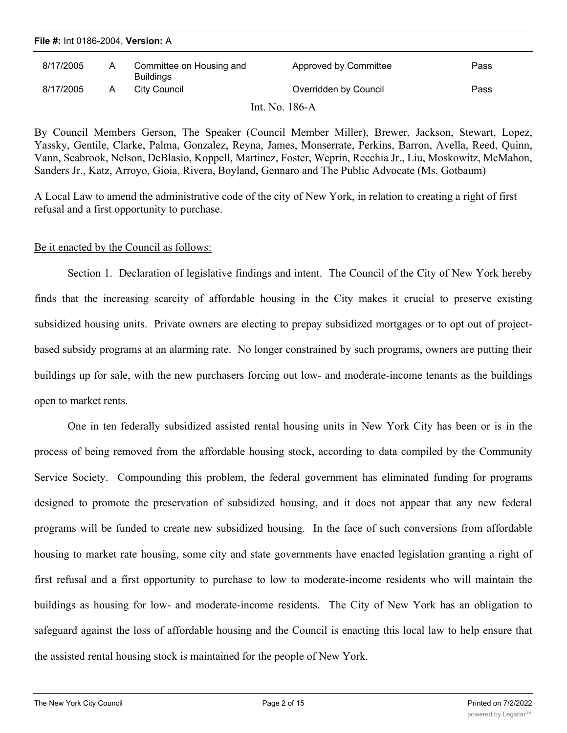| File #: Int 0186-2004, Version: A |   |                                              |                       |      |  |  |  |  |
|-----------------------------------|---|----------------------------------------------|-----------------------|------|--|--|--|--|
| 8/17/2005                         | A | Committee on Housing and<br><b>Buildings</b> | Approved by Committee | Pass |  |  |  |  |
| 8/17/2005                         | A | City Council                                 | Overridden by Council | Pass |  |  |  |  |
|                                   |   |                                              | Int. No. 186-A        |      |  |  |  |  |

By Council Members Gerson, The Speaker (Council Member Miller), Brewer, Jackson, Stewart, Lopez, Yassky, Gentile, Clarke, Palma, Gonzalez, Reyna, James, Monserrate, Perkins, Barron, Avella, Reed, Quinn, Vann, Seabrook, Nelson, DeBlasio, Koppell, Martinez, Foster, Weprin, Recchia Jr., Liu, Moskowitz, McMahon, Sanders Jr., Katz, Arroyo, Gioia, Rivera, Boyland, Gennaro and The Public Advocate (Ms. Gotbaum)

A Local Law to amend the administrative code of the city of New York, in relation to creating a right of first refusal and a first opportunity to purchase.

### Be it enacted by the Council as follows:

Section 1. Declaration of legislative findings and intent. The Council of the City of New York hereby finds that the increasing scarcity of affordable housing in the City makes it crucial to preserve existing subsidized housing units. Private owners are electing to prepay subsidized mortgages or to opt out of projectbased subsidy programs at an alarming rate. No longer constrained by such programs, owners are putting their buildings up for sale, with the new purchasers forcing out low- and moderate-income tenants as the buildings open to market rents.

One in ten federally subsidized assisted rental housing units in New York City has been or is in the process of being removed from the affordable housing stock, according to data compiled by the Community Service Society. Compounding this problem, the federal government has eliminated funding for programs designed to promote the preservation of subsidized housing, and it does not appear that any new federal programs will be funded to create new subsidized housing. In the face of such conversions from affordable housing to market rate housing, some city and state governments have enacted legislation granting a right of first refusal and a first opportunity to purchase to low to moderate-income residents who will maintain the buildings as housing for low- and moderate-income residents. The City of New York has an obligation to safeguard against the loss of affordable housing and the Council is enacting this local law to help ensure that the assisted rental housing stock is maintained for the people of New York.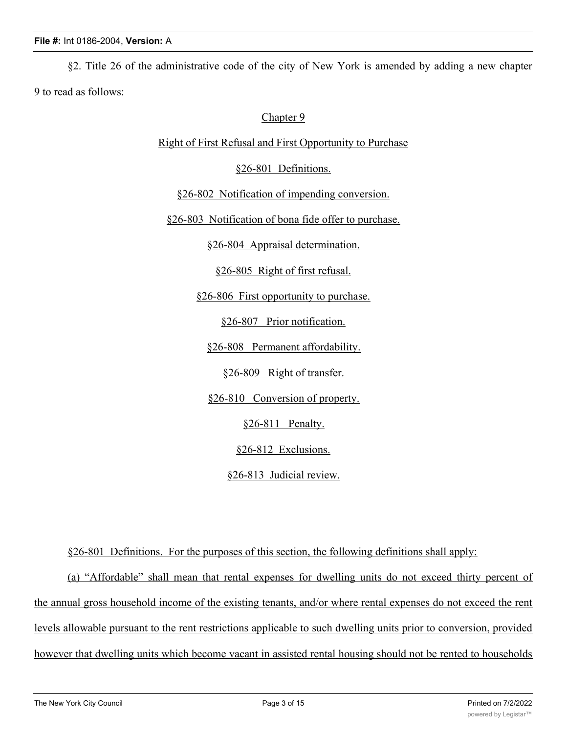§2. Title 26 of the administrative code of the city of New York is amended by adding a new chapter 9 to read as follows:

## Chapter 9

Right of First Refusal and First Opportunity to Purchase

§26-801 Definitions.

§26-802 Notification of impending conversion.

§26-803 Notification of bona fide offer to purchase.

§26-804 Appraisal determination.

§26-805 Right of first refusal.

§26-806 First opportunity to purchase.

§26-807 Prior notification.

§26-808 Permanent affordability.

§26-809 Right of transfer.

§26-810 Conversion of property.

§26-811 Penalty.

§26-812 Exclusions.

§26-813 Judicial review.

§26-801 Definitions. For the purposes of this section, the following definitions shall apply:

(a) "Affordable" shall mean that rental expenses for dwelling units do not exceed thirty percent of the annual gross household income of the existing tenants, and/or where rental expenses do not exceed the rent levels allowable pursuant to the rent restrictions applicable to such dwelling units prior to conversion, provided however that dwelling units which become vacant in assisted rental housing should not be rented to households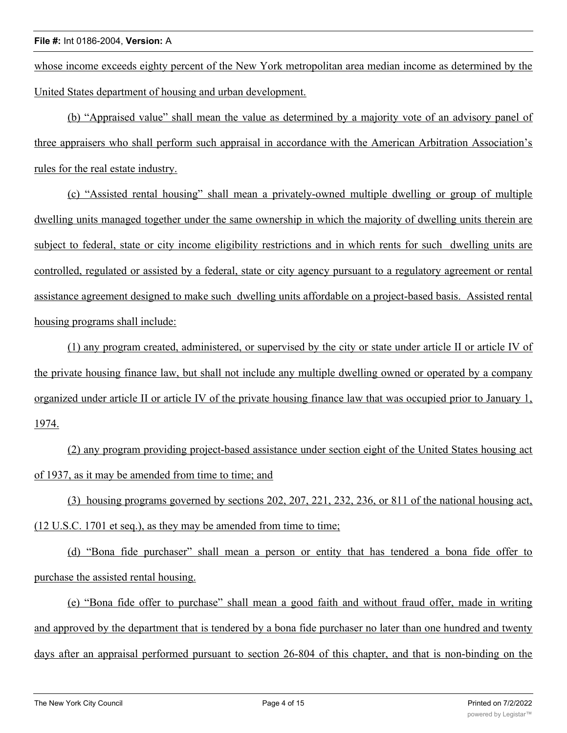whose income exceeds eighty percent of the New York metropolitan area median income as determined by the United States department of housing and urban development.

(b) "Appraised value" shall mean the value as determined by a majority vote of an advisory panel of three appraisers who shall perform such appraisal in accordance with the American Arbitration Association's rules for the real estate industry.

(c) "Assisted rental housing" shall mean a privately-owned multiple dwelling or group of multiple dwelling units managed together under the same ownership in which the majority of dwelling units therein are subject to federal, state or city income eligibility restrictions and in which rents for such dwelling units are controlled, regulated or assisted by a federal, state or city agency pursuant to a regulatory agreement or rental assistance agreement designed to make such dwelling units affordable on a project-based basis. Assisted rental housing programs shall include:

(1) any program created, administered, or supervised by the city or state under article II or article IV of the private housing finance law, but shall not include any multiple dwelling owned or operated by a company organized under article II or article IV of the private housing finance law that was occupied prior to January 1, 1974.

(2) any program providing project-based assistance under section eight of the United States housing act of 1937, as it may be amended from time to time; and

(3) housing programs governed by sections 202, 207, 221, 232, 236, or 811 of the national housing act, (12 U.S.C. 1701 et seq.), as they may be amended from time to time;

(d) "Bona fide purchaser" shall mean a person or entity that has tendered a bona fide offer to purchase the assisted rental housing.

(e) "Bona fide offer to purchase" shall mean a good faith and without fraud offer, made in writing and approved by the department that is tendered by a bona fide purchaser no later than one hundred and twenty days after an appraisal performed pursuant to section 26-804 of this chapter, and that is non-binding on the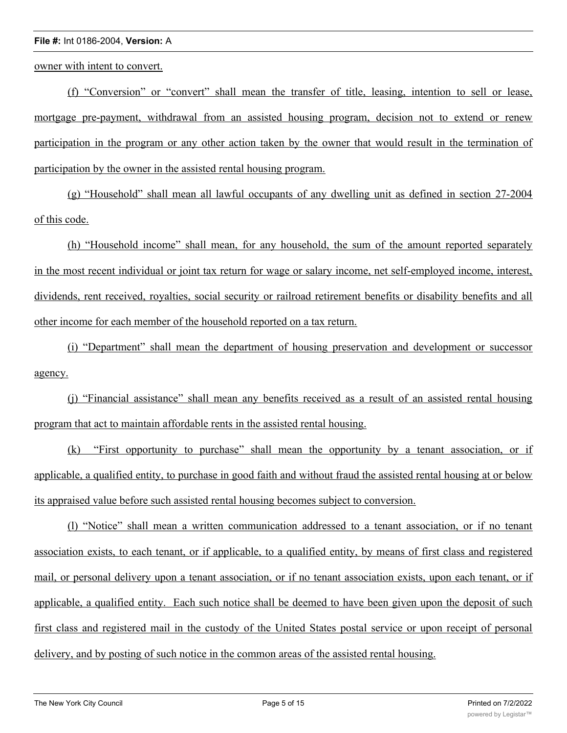owner with intent to convert.

(f) "Conversion" or "convert" shall mean the transfer of title, leasing, intention to sell or lease, mortgage pre-payment, withdrawal from an assisted housing program, decision not to extend or renew participation in the program or any other action taken by the owner that would result in the termination of participation by the owner in the assisted rental housing program.

(g) "Household" shall mean all lawful occupants of any dwelling unit as defined in section 27-2004 of this code.

(h) "Household income" shall mean, for any household, the sum of the amount reported separately in the most recent individual or joint tax return for wage or salary income, net self-employed income, interest, dividends, rent received, royalties, social security or railroad retirement benefits or disability benefits and all other income for each member of the household reported on a tax return.

(i) "Department" shall mean the department of housing preservation and development or successor agency.

(j) "Financial assistance" shall mean any benefits received as a result of an assisted rental housing program that act to maintain affordable rents in the assisted rental housing.

(k) "First opportunity to purchase" shall mean the opportunity by a tenant association, or if applicable, a qualified entity, to purchase in good faith and without fraud the assisted rental housing at or below its appraised value before such assisted rental housing becomes subject to conversion.

(l) "Notice" shall mean a written communication addressed to a tenant association, or if no tenant association exists, to each tenant, or if applicable, to a qualified entity, by means of first class and registered mail, or personal delivery upon a tenant association, or if no tenant association exists, upon each tenant, or if applicable, a qualified entity. Each such notice shall be deemed to have been given upon the deposit of such first class and registered mail in the custody of the United States postal service or upon receipt of personal delivery, and by posting of such notice in the common areas of the assisted rental housing.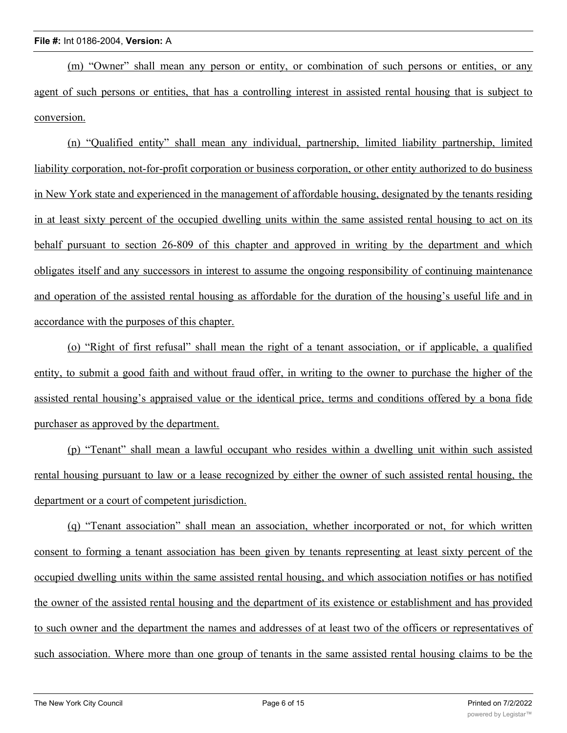(m) "Owner" shall mean any person or entity, or combination of such persons or entities, or any agent of such persons or entities, that has a controlling interest in assisted rental housing that is subject to conversion.

(n) "Qualified entity" shall mean any individual, partnership, limited liability partnership, limited liability corporation, not-for-profit corporation or business corporation, or other entity authorized to do business in New York state and experienced in the management of affordable housing, designated by the tenants residing in at least sixty percent of the occupied dwelling units within the same assisted rental housing to act on its behalf pursuant to section 26-809 of this chapter and approved in writing by the department and which obligates itself and any successors in interest to assume the ongoing responsibility of continuing maintenance and operation of the assisted rental housing as affordable for the duration of the housing's useful life and in accordance with the purposes of this chapter.

(o) "Right of first refusal" shall mean the right of a tenant association, or if applicable, a qualified entity, to submit a good faith and without fraud offer, in writing to the owner to purchase the higher of the assisted rental housing's appraised value or the identical price, terms and conditions offered by a bona fide purchaser as approved by the department.

(p) "Tenant" shall mean a lawful occupant who resides within a dwelling unit within such assisted rental housing pursuant to law or a lease recognized by either the owner of such assisted rental housing, the department or a court of competent jurisdiction.

(q) "Tenant association" shall mean an association, whether incorporated or not, for which written consent to forming a tenant association has been given by tenants representing at least sixty percent of the occupied dwelling units within the same assisted rental housing, and which association notifies or has notified the owner of the assisted rental housing and the department of its existence or establishment and has provided to such owner and the department the names and addresses of at least two of the officers or representatives of such association. Where more than one group of tenants in the same assisted rental housing claims to be the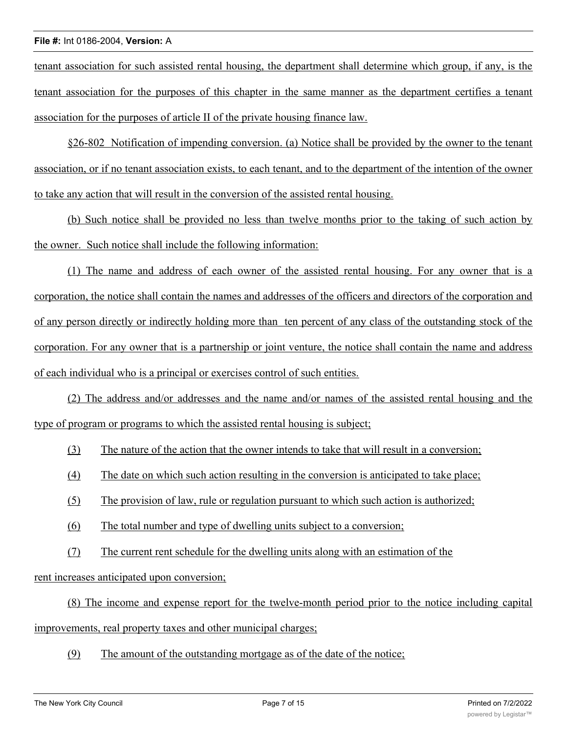tenant association for such assisted rental housing, the department shall determine which group, if any, is the tenant association for the purposes of this chapter in the same manner as the department certifies a tenant association for the purposes of article II of the private housing finance law.

§26-802 Notification of impending conversion. (a) Notice shall be provided by the owner to the tenant association, or if no tenant association exists, to each tenant, and to the department of the intention of the owner to take any action that will result in the conversion of the assisted rental housing.

(b) Such notice shall be provided no less than twelve months prior to the taking of such action by the owner. Such notice shall include the following information:

(1) The name and address of each owner of the assisted rental housing. For any owner that is a corporation, the notice shall contain the names and addresses of the officers and directors of the corporation and of any person directly or indirectly holding more than ten percent of any class of the outstanding stock of the corporation. For any owner that is a partnership or joint venture, the notice shall contain the name and address of each individual who is a principal or exercises control of such entities.

(2) The address and/or addresses and the name and/or names of the assisted rental housing and the type of program or programs to which the assisted rental housing is subject;

- (3) The nature of the action that the owner intends to take that will result in a conversion;
- (4) The date on which such action resulting in the conversion is anticipated to take place;
- (5) The provision of law, rule or regulation pursuant to which such action is authorized;
- (6) The total number and type of dwelling units subject to a conversion;
- (7) The current rent schedule for the dwelling units along with an estimation of the

rent increases anticipated upon conversion;

(8) The income and expense report for the twelve-month period prior to the notice including capital improvements, real property taxes and other municipal charges;

(9) The amount of the outstanding mortgage as of the date of the notice;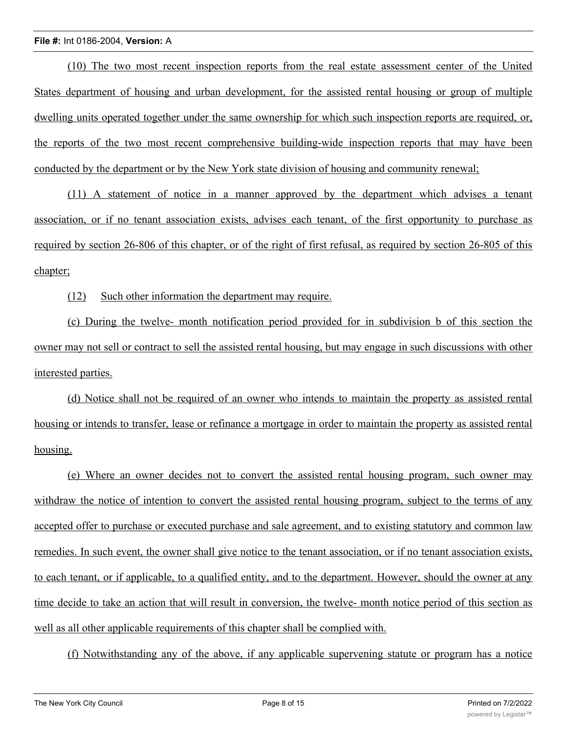(10) The two most recent inspection reports from the real estate assessment center of the United States department of housing and urban development, for the assisted rental housing or group of multiple dwelling units operated together under the same ownership for which such inspection reports are required, or, the reports of the two most recent comprehensive building-wide inspection reports that may have been conducted by the department or by the New York state division of housing and community renewal;

(11) A statement of notice in a manner approved by the department which advises a tenant association, or if no tenant association exists, advises each tenant, of the first opportunity to purchase as required by section 26-806 of this chapter, or of the right of first refusal, as required by section 26-805 of this chapter;

(12) Such other information the department may require.

(c) During the twelve- month notification period provided for in subdivision b of this section the owner may not sell or contract to sell the assisted rental housing, but may engage in such discussions with other interested parties.

(d) Notice shall not be required of an owner who intends to maintain the property as assisted rental housing or intends to transfer, lease or refinance a mortgage in order to maintain the property as assisted rental housing.

(e) Where an owner decides not to convert the assisted rental housing program, such owner may withdraw the notice of intention to convert the assisted rental housing program, subject to the terms of any accepted offer to purchase or executed purchase and sale agreement, and to existing statutory and common law remedies. In such event, the owner shall give notice to the tenant association, or if no tenant association exists, to each tenant, or if applicable, to a qualified entity, and to the department. However, should the owner at any time decide to take an action that will result in conversion, the twelve- month notice period of this section as well as all other applicable requirements of this chapter shall be complied with.

(f) Notwithstanding any of the above, if any applicable supervening statute or program has a notice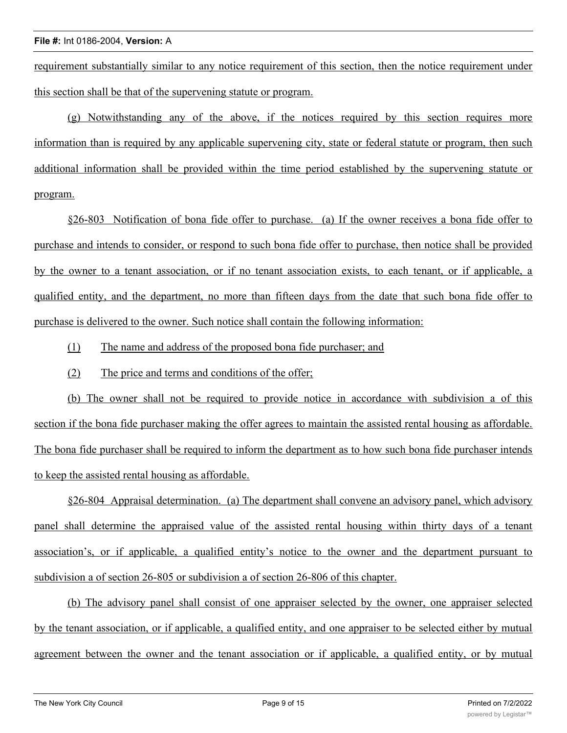requirement substantially similar to any notice requirement of this section, then the notice requirement under this section shall be that of the supervening statute or program.

(g) Notwithstanding any of the above, if the notices required by this section requires more information than is required by any applicable supervening city, state or federal statute or program, then such additional information shall be provided within the time period established by the supervening statute or program.

§26-803 Notification of bona fide offer to purchase. (a) If the owner receives a bona fide offer to purchase and intends to consider, or respond to such bona fide offer to purchase, then notice shall be provided by the owner to a tenant association, or if no tenant association exists, to each tenant, or if applicable, a qualified entity, and the department, no more than fifteen days from the date that such bona fide offer to purchase is delivered to the owner. Such notice shall contain the following information:

- (1) The name and address of the proposed bona fide purchaser; and
- (2) The price and terms and conditions of the offer;

(b) The owner shall not be required to provide notice in accordance with subdivision a of this section if the bona fide purchaser making the offer agrees to maintain the assisted rental housing as affordable. The bona fide purchaser shall be required to inform the department as to how such bona fide purchaser intends to keep the assisted rental housing as affordable.

§26-804 Appraisal determination. (a) The department shall convene an advisory panel, which advisory panel shall determine the appraised value of the assisted rental housing within thirty days of a tenant association's, or if applicable, a qualified entity's notice to the owner and the department pursuant to subdivision a of section 26-805 or subdivision a of section 26-806 of this chapter.

(b) The advisory panel shall consist of one appraiser selected by the owner, one appraiser selected by the tenant association, or if applicable, a qualified entity, and one appraiser to be selected either by mutual agreement between the owner and the tenant association or if applicable, a qualified entity, or by mutual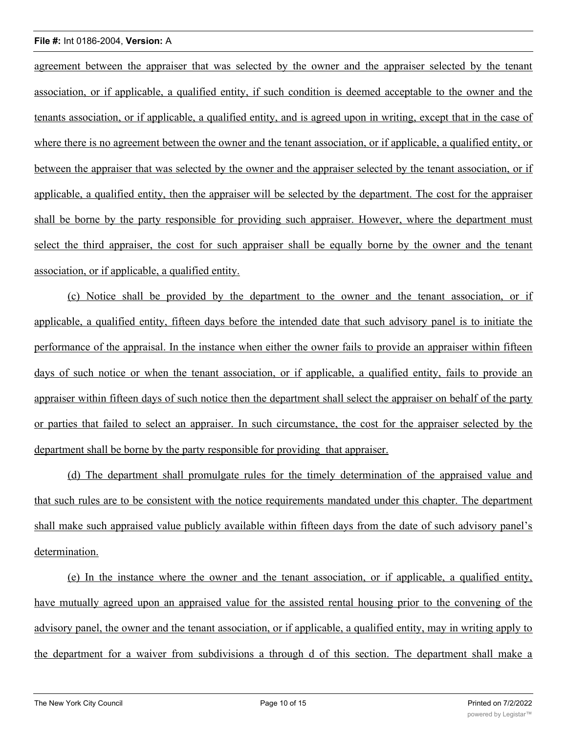agreement between the appraiser that was selected by the owner and the appraiser selected by the tenant association, or if applicable, a qualified entity, if such condition is deemed acceptable to the owner and the tenants association, or if applicable, a qualified entity, and is agreed upon in writing, except that in the case of where there is no agreement between the owner and the tenant association, or if applicable, a qualified entity, or between the appraiser that was selected by the owner and the appraiser selected by the tenant association, or if applicable, a qualified entity, then the appraiser will be selected by the department. The cost for the appraiser shall be borne by the party responsible for providing such appraiser. However, where the department must select the third appraiser, the cost for such appraiser shall be equally borne by the owner and the tenant association, or if applicable, a qualified entity.

(c) Notice shall be provided by the department to the owner and the tenant association, or if applicable, a qualified entity, fifteen days before the intended date that such advisory panel is to initiate the performance of the appraisal. In the instance when either the owner fails to provide an appraiser within fifteen days of such notice or when the tenant association, or if applicable, a qualified entity, fails to provide an appraiser within fifteen days of such notice then the department shall select the appraiser on behalf of the party or parties that failed to select an appraiser. In such circumstance, the cost for the appraiser selected by the department shall be borne by the party responsible for providing that appraiser.

(d) The department shall promulgate rules for the timely determination of the appraised value and that such rules are to be consistent with the notice requirements mandated under this chapter. The department shall make such appraised value publicly available within fifteen days from the date of such advisory panel's determination.

(e) In the instance where the owner and the tenant association, or if applicable, a qualified entity, have mutually agreed upon an appraised value for the assisted rental housing prior to the convening of the advisory panel, the owner and the tenant association, or if applicable, a qualified entity, may in writing apply to the department for a waiver from subdivisions a through d of this section. The department shall make a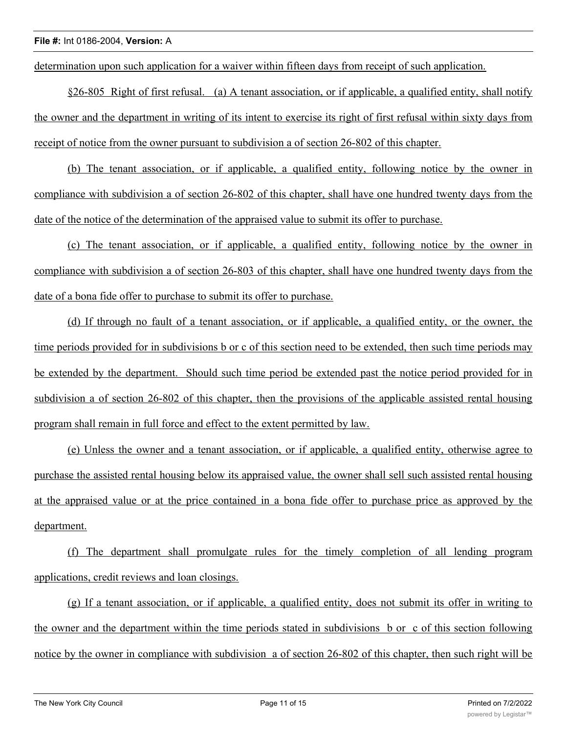determination upon such application for a waiver within fifteen days from receipt of such application.

§26-805 Right of first refusal. (a) A tenant association, or if applicable, a qualified entity, shall notify the owner and the department in writing of its intent to exercise its right of first refusal within sixty days from receipt of notice from the owner pursuant to subdivision a of section 26-802 of this chapter.

(b) The tenant association, or if applicable, a qualified entity, following notice by the owner in compliance with subdivision a of section 26-802 of this chapter, shall have one hundred twenty days from the date of the notice of the determination of the appraised value to submit its offer to purchase.

(c) The tenant association, or if applicable, a qualified entity, following notice by the owner in compliance with subdivision a of section 26-803 of this chapter, shall have one hundred twenty days from the date of a bona fide offer to purchase to submit its offer to purchase.

(d) If through no fault of a tenant association, or if applicable, a qualified entity, or the owner, the time periods provided for in subdivisions b or c of this section need to be extended, then such time periods may be extended by the department. Should such time period be extended past the notice period provided for in subdivision a of section 26-802 of this chapter, then the provisions of the applicable assisted rental housing program shall remain in full force and effect to the extent permitted by law.

(e) Unless the owner and a tenant association, or if applicable, a qualified entity, otherwise agree to purchase the assisted rental housing below its appraised value, the owner shall sell such assisted rental housing at the appraised value or at the price contained in a bona fide offer to purchase price as approved by the department.

(f) The department shall promulgate rules for the timely completion of all lending program applications, credit reviews and loan closings.

(g) If a tenant association, or if applicable, a qualified entity, does not submit its offer in writing to the owner and the department within the time periods stated in subdivisions b or c of this section following notice by the owner in compliance with subdivision a of section 26-802 of this chapter, then such right will be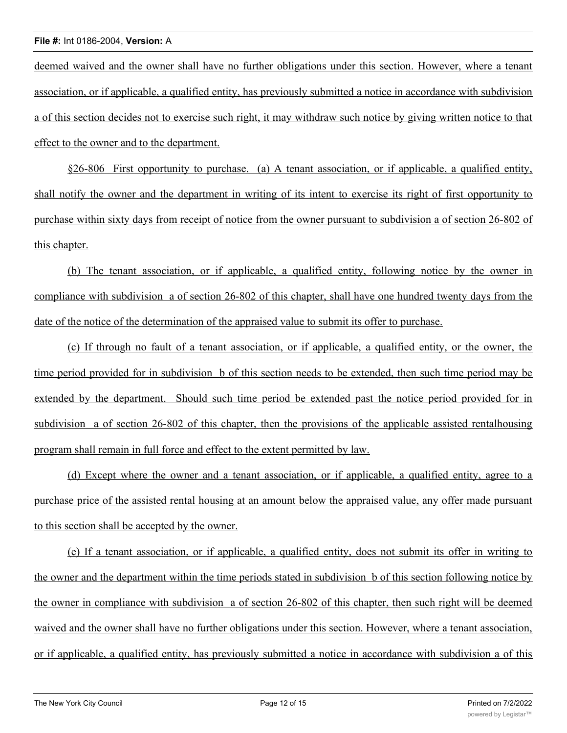deemed waived and the owner shall have no further obligations under this section. However, where a tenant association, or if applicable, a qualified entity, has previously submitted a notice in accordance with subdivision a of this section decides not to exercise such right, it may withdraw such notice by giving written notice to that effect to the owner and to the department.

§26-806 First opportunity to purchase. (a) A tenant association, or if applicable, a qualified entity, shall notify the owner and the department in writing of its intent to exercise its right of first opportunity to purchase within sixty days from receipt of notice from the owner pursuant to subdivision a of section 26-802 of this chapter.

(b) The tenant association, or if applicable, a qualified entity, following notice by the owner in compliance with subdivision a of section 26-802 of this chapter, shall have one hundred twenty days from the date of the notice of the determination of the appraised value to submit its offer to purchase.

(c) If through no fault of a tenant association, or if applicable, a qualified entity, or the owner, the time period provided for in subdivision b of this section needs to be extended, then such time period may be extended by the department. Should such time period be extended past the notice period provided for in subdivision a of section 26-802 of this chapter, then the provisions of the applicable assisted rentalhousing program shall remain in full force and effect to the extent permitted by law.

(d) Except where the owner and a tenant association, or if applicable, a qualified entity, agree to a purchase price of the assisted rental housing at an amount below the appraised value, any offer made pursuant to this section shall be accepted by the owner.

(e) If a tenant association, or if applicable, a qualified entity, does not submit its offer in writing to the owner and the department within the time periods stated in subdivision b of this section following notice by the owner in compliance with subdivision a of section 26-802 of this chapter, then such right will be deemed waived and the owner shall have no further obligations under this section. However, where a tenant association, or if applicable, a qualified entity, has previously submitted a notice in accordance with subdivision a of this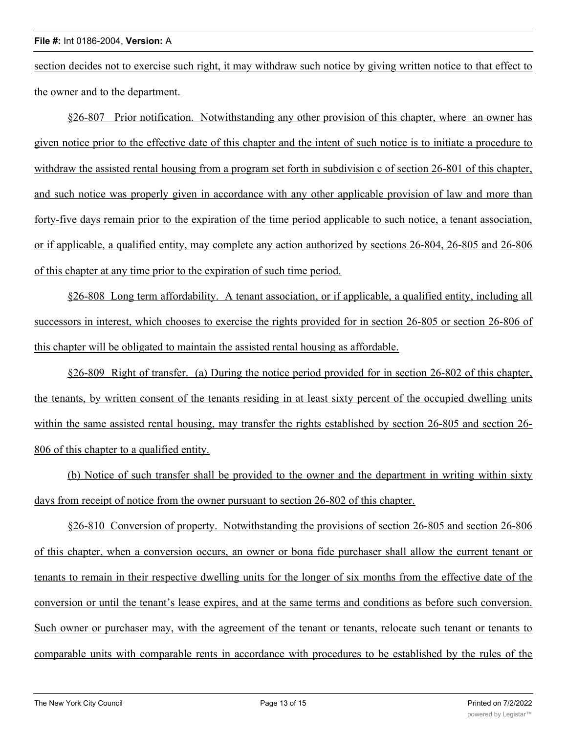section decides not to exercise such right, it may withdraw such notice by giving written notice to that effect to the owner and to the department.

§26-807 Prior notification. Notwithstanding any other provision of this chapter, where an owner has given notice prior to the effective date of this chapter and the intent of such notice is to initiate a procedure to withdraw the assisted rental housing from a program set forth in subdivision c of section 26-801 of this chapter, and such notice was properly given in accordance with any other applicable provision of law and more than forty-five days remain prior to the expiration of the time period applicable to such notice, a tenant association, or if applicable, a qualified entity, may complete any action authorized by sections 26-804, 26-805 and 26-806 of this chapter at any time prior to the expiration of such time period.

§26-808 Long term affordability. A tenant association, or if applicable, a qualified entity, including all successors in interest, which chooses to exercise the rights provided for in section 26-805 or section 26-806 of this chapter will be obligated to maintain the assisted rental housing as affordable.

§26-809 Right of transfer. (a) During the notice period provided for in section 26-802 of this chapter, the tenants, by written consent of the tenants residing in at least sixty percent of the occupied dwelling units within the same assisted rental housing, may transfer the rights established by section 26-805 and section 26-806 of this chapter to a qualified entity.

(b) Notice of such transfer shall be provided to the owner and the department in writing within sixty days from receipt of notice from the owner pursuant to section 26-802 of this chapter.

§26-810 Conversion of property. Notwithstanding the provisions of section 26-805 and section 26-806 of this chapter, when a conversion occurs, an owner or bona fide purchaser shall allow the current tenant or tenants to remain in their respective dwelling units for the longer of six months from the effective date of the conversion or until the tenant's lease expires, and at the same terms and conditions as before such conversion. Such owner or purchaser may, with the agreement of the tenant or tenants, relocate such tenant or tenants to comparable units with comparable rents in accordance with procedures to be established by the rules of the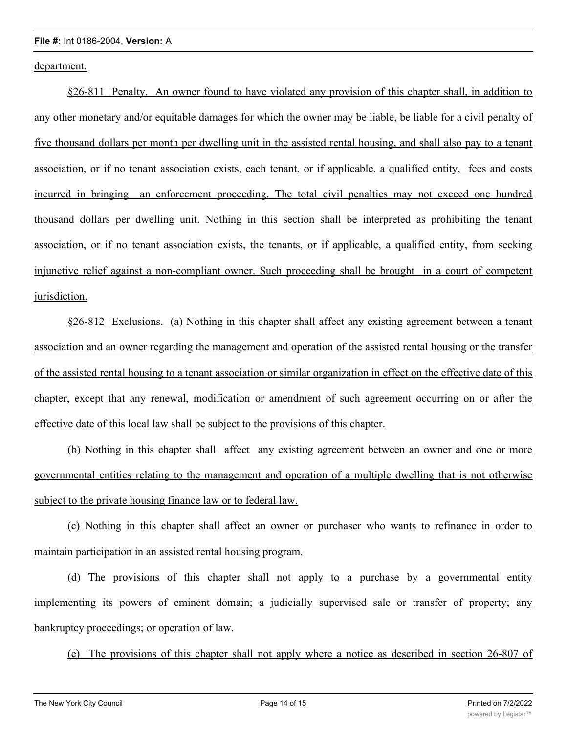department.

§26-811 Penalty. An owner found to have violated any provision of this chapter shall, in addition to any other monetary and/or equitable damages for which the owner may be liable, be liable for a civil penalty of five thousand dollars per month per dwelling unit in the assisted rental housing, and shall also pay to a tenant association, or if no tenant association exists, each tenant, or if applicable, a qualified entity, fees and costs incurred in bringing an enforcement proceeding. The total civil penalties may not exceed one hundred thousand dollars per dwelling unit. Nothing in this section shall be interpreted as prohibiting the tenant association, or if no tenant association exists, the tenants, or if applicable, a qualified entity, from seeking injunctive relief against a non-compliant owner. Such proceeding shall be brought in a court of competent jurisdiction.

§26-812 Exclusions. (a) Nothing in this chapter shall affect any existing agreement between a tenant association and an owner regarding the management and operation of the assisted rental housing or the transfer of the assisted rental housing to a tenant association or similar organization in effect on the effective date of this chapter, except that any renewal, modification or amendment of such agreement occurring on or after the effective date of this local law shall be subject to the provisions of this chapter.

(b) Nothing in this chapter shall affect any existing agreement between an owner and one or more governmental entities relating to the management and operation of a multiple dwelling that is not otherwise subject to the private housing finance law or to federal law.

(c) Nothing in this chapter shall affect an owner or purchaser who wants to refinance in order to maintain participation in an assisted rental housing program.

(d) The provisions of this chapter shall not apply to a purchase by a governmental entity implementing its powers of eminent domain; a judicially supervised sale or transfer of property; any bankruptcy proceedings; or operation of law.

(e) The provisions of this chapter shall not apply where a notice as described in section 26-807 of